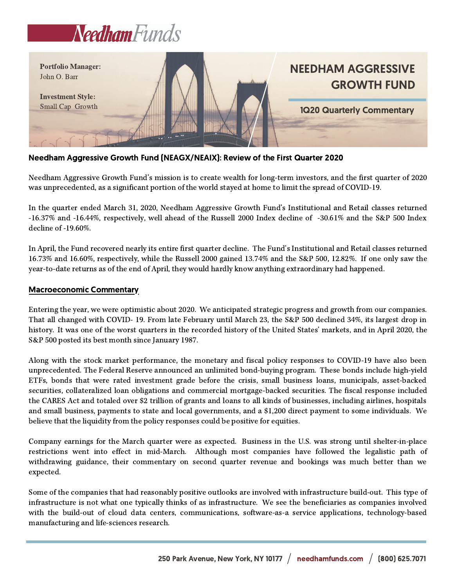



## Needham Aggressive Growth Fund (NEAGX/NEAIX): Review of the First Quarter 2020

Needham Aggressive Growth Fund's mission is to create wealth for long-term investors, and the first quarter of 2020 was unprecedented, as a significant portion of the world stayed at home to limit the spread of COVID-19.

In the quarter ended March 31, 2020, Needham Aggressive Growth Fund's Institutional and Retail classes returned -16.37% and -16.44%, respectively, well ahead of the Russell 2000 Index decline of -30.61% and the S&P 500 Index decline of -19.60%.

In April, the Fund recovered nearly its entire first quarter decline. The Fund's Institutional and Retail classes returned 16.73% and 16.60%, respectively, while the Russell 2000 gained 13.74% and the S&P 500, 12.82%. If one only saw the year-to-date returns as of the end of April, they would hardly know anything extraordinary had happened.

## Macroeconomic Commentary

Entering the year, we were optimistic about 2020. We anticipated strategic progress and growth from our companies. That all changed with COVID- 19. From late February until March 23, the S&P 500 declined 34%, its largest drop in history. It was one of the worst quarters in the recorded history of the United States' markets, and in April 2020, the S&P 500 posted its best month since January 1987.

Along with the stock market performance, the monetary and fiscal policy responses to COVID-19 have also been unprecedented. The Federal Reserve announced an unlimited bond-buying program. These bonds include high-yield ETFs, bonds that were rated investment grade before the crisis, small business loans, municipals, asset-backed securities, collateralized loan obligations and commercial mortgage-backed securities. The fiscal response included the CARES Act and totaled over \$2 trillion of grants and loans to all kinds of businesses, including airlines, hospitals and small business, payments to state and local governments, and a \$1,200 direct payment to some individuals. We believe that the liquidity from the policy responses could be positive for equities.

Company earnings for the March quarter were as expected. Business in the U.S. was strong until shelter-in-place restrictions went into effect in mid-March. Although most companies have followed the legalistic path of withdrawing guidance, their commentary on second quarter revenue and bookings was much better than we expected.

Some of the companies that had reasonably positive outlooks are involved with infrastructure build-out. This type of infrastructure is not what one typically thinks of as infrastructure. We see the beneficiaries as companies involved with the build-out of cloud data centers, communications, software-as-a service applications, technology-based manufacturing and life-sciences research.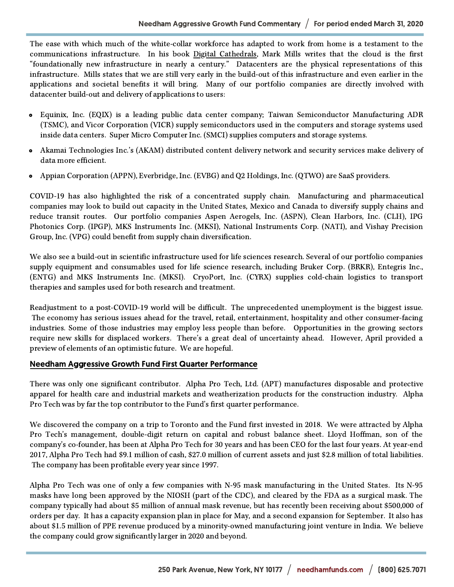The ease with which much of the white-collar workforce has adapted to work from home is a testament to the communications infrastructure. In his book Digital Cathedrals, Mark Mills writes that the cloud is the first "foundationally new infrastructure in nearly a century." Datacenters are the physical representations of this infrastructure. Mills states that we are still very early in the build-out of this infrastructure and even earlier in the applications and societal benefits it will bring. Many of our portfolio companies are directly involved with datacenter build-out and delivery of applications to users:

- Equinix, Inc. (EQIX) is a leading public data center company; Taiwan Semiconductor Manufacturing ADR (TSMC), and Vicor Corporation (VICR) supply semiconductors used in the computers and storage systems used inside data centers. Super Micro Computer Inc. (SMCI) supplies computers and storage systems.
- Akamai Technologies Inc.'s (AKAM) distributed content delivery network and security services make delivery of  $\bullet$ data more efficient.
- Appian Corporation (APPN), Everbridge, Inc. (EVBG) and Q2 Holdings, Inc. (QTWO) are SaaS providers.

COVID-19 has also highlighted the risk of a concentrated supply chain. Manufacturing and pharmaceutical companies may look to build out capacity in the United States, Mexico and Canada to diversify supply chains and reduce transit routes. Our portfolio companies Aspen Aerogels, Inc. (ASPN), Clean Harbors, Inc. (CLH), IPG Photonics Corp. (IPGP), MKS Instruments Inc. (MKSI), National Instruments Corp. (NATI), and Vishay Precision Group, Inc. (VPG) could benefit from supply chain diversification.

We also see a build-out in scientific infrastructure used for life sciences research. Several of our portfolio companies supply equipment and consumables used for life science research, including Bruker Corp. (BRKR), Entegris Inc., (ENTG) and MKS Instruments Inc. (MKSI). CryoPort, Inc. (CYRX) supplies cold-chain logistics to transport therapies and samples used for both research and treatment.

Readjustment to a post-COVID-19 world will be difficult. The unprecedented unemployment is the biggest issue. The economy has serious issues ahead for the travel, retail, entertainment, hospitality and other consumer-facing industries. Some of those industries may employ less people than before. Opportunities in the growing sectors require new skills for displaced workers. There's a great deal of uncertainty ahead. However, April provided a preview of elements of an optimistic future. We are hopeful.

## Needham Aggressive Growth Fund First Quarter Performance

There was only one significant contributor. Alpha Pro Tech, Ltd. (APT) manufactures disposable and protective apparel for health care and industrial markets and weatherization products for the construction industry. Alpha Pro Tech was by far the top contributor to the Fund's first quarter performance.

We discovered the company on a trip to Toronto and the Fund first invested in 2018. We were attracted by Alpha Pro Tech's management, double-digit return on capital and robust balance sheet. Lloyd Hoffman, son of the company's co-founder, has been at Alpha Pro Tech for 30 years and has been CEO for the last four years. At year-end 2017, Alpha Pro Tech had \$9.1 million of cash, \$27.0 million of current assets and just \$2.8 million of total liabilities. The company has been profitable every year since 1997.

Alpha Pro Tech was one of only a few companies with N-95 mask manufacturing in the United States. Its N-95 masks have long been approved by the NIOSH (part of the CDC), and cleared by the FDA as a surgical mask. The company typically had about \$5 million of annual mask revenue, but has recently been receiving about \$500,000 of orders per day. It has a capacity expansion plan in place for May, and a second expansion for September. It also has about \$1.5 million of PPE revenue produced by a minority-owned manufacturing joint venture in India. We believe the company could grow significantly larger in 2020 and beyond.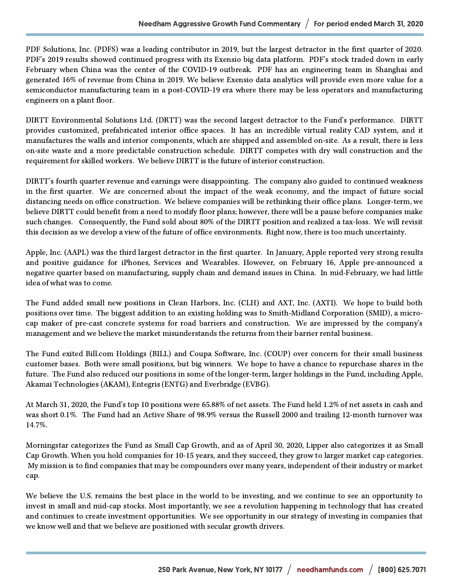PDF Solutions, Inc. (PDFS) was a leading contributor in 2019, but the largest detractor in the first quarter of 2020. PDF's 2019 results showed continued progress with its Exensio big data platform. PDF's stock traded down in early February when China was the center of the COVID-19 outbreak. PDF has an engineering team in Shanghai and generated 16% of revenue from China in 2019. We believe Exensio data analytics will provide even more value for a semiconductor manufacturing team in a post-COVID-19 era where there may be less operators and manufacturing engineers on a plant floor.

DIRTT Environmental Solutions Ltd. (DRTT) was the second largest detractor to the Fund's performance. DIRTT provides customized, prefabricated interior office spaces. It has an incredible virtual reality CAD system, and it manufactures the walls and interior components, which are shipped and assembled on-site. As a result, there is less on-site waste and a more predictable construction schedule. DIRTT competes with dry wall construction and the requirement for skilled workers. We believe DIRTT is the future of interior construction.

DIRTT's fourth quarter revenue and earnings were disappointing. The company also guided to continued weakness in the first quarter. We are concerned about the impact of the weak economy, and the impact of future social distancing needs on office construction. We believe companies will be rethinking their office plans. Longer-term, we believe DIRTT could benefit from a need to modify floor plans; however, there will be a pause before companies make such changes. Consequently, the Fund sold about 80% of the DIRTT position and realized a tax-loss. We will revisit this decision as we develop a view of the future of office environments. Right now, there is too much uncertainty.

Apple, Inc. (AAPL) was the third largest detractor in the first quarter. In January, Apple reported very strong results and positive guidance for iPhones, Services and Wearables. However, on February 16, Apple pre-announced a negative quarter based on manufacturing, supply chain and demand issues in China. In mid-February, we had little idea of what was to come.

The Fund added small new positions in Clean Harbors, Inc. (CLH) and AXT, Inc. (AXTI). We hope to build both positions over time. The biggest addition to an existing holding was to Smith-Midland Corporation (SMID), a microcap maker of pre-cast concrete systems for road barriers and construction. We are impressed by the company's management and we believe the market misunderstands the returns from their barrier rental business.

The Fund exited Bill.com Holdings (BILL) and Coupa Software, Inc. (COUP) over concern for their small business customer bases. Both were small positions, but big winners. We hope to have a chance to repurchase shares in the future. The Fund also reduced our positions in some of the longer-term, larger holdings in the Fund, including Apple, Akamai Technologies (AKAM), Entegris (ENTG) and Everbridge (EVBG).

At March 31, 2020, the Fund's top 10 positions were 65.88% of net assets. The Fund held 1.2% of net assets in cash and was short 0.1%. The Fund had an Active Share of 98.9% versus the Russell 2000 and trailing 12-month turnover was 14.7%.

Morningstar categorizes the Fund as Small Cap Growth, and as of April 30, 2020, Lipper also categorizes it as Small Cap Growth. When you hold companies for 10-15 years, and they succeed, they grow to larger market cap categories. My mission is to find companies that may be compounders over many years, independent of their industry or market cap.

We believe the U.S. remains the best place in the world to be investing, and we continue to see an opportunity to invest in small and mid-cap stocks. Most importantly, we see a revolution happening in technology that has created and continues to create investment opportunities. We see opportunity in our strategy of investing in companies that we know well and that we believe are positioned with secular growth drivers.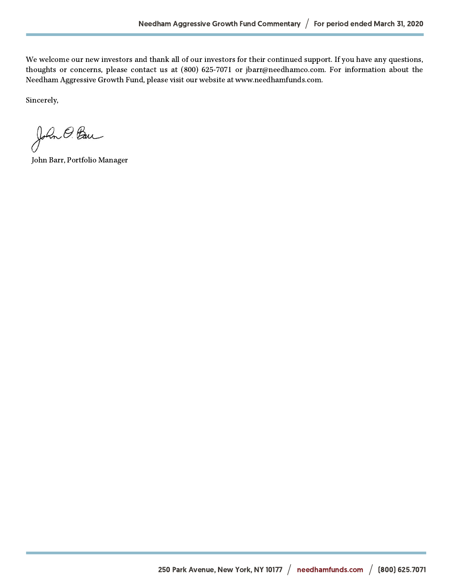We welcome our new investors and thank all of our investors for their continued support. If you have any questions, thoughts or concerns, please contact us at (800) 625-7071 or jbarr@needhamco.com. For information about the Needham Aggressive Growth Fund, please visit our website at www.needhamfunds.com.

Sincerely,

John O. Ban

John Barr, Portfolio Manager